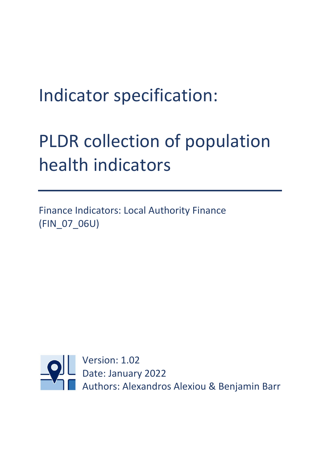# Indicator specification:

# PLDR collection of population health indicators

Finance Indicators: Local Authority Finance (FIN\_07\_06U)

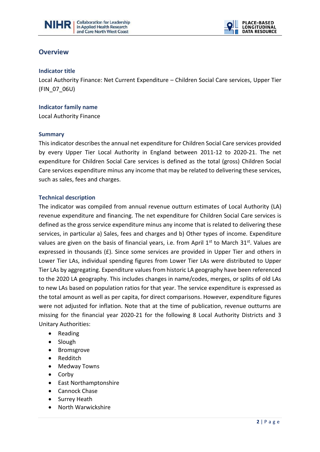



### **Overview**

#### **Indicator title**

Local Authority Finance: Net Current Expenditure – Children Social Care services, Upper Tier (FIN\_07\_06U)

 $\overline{a}$ 

#### **Indicator family name**

Local Authority Finance

#### **Summary**

This indicator describes the annual net expenditure for Children Social Care services provided by every Upper Tier Local Authority in England between 2011-12 to 2020-21. The net expenditure for Children Social Care services is defined as the total (gross) Children Social Care services expenditure minus any income that may be related to delivering these services, such as sales, fees and charges.

#### **Technical description**

The indicator was compiled from annual revenue outturn estimates of Local Authority (LA) revenue expenditure and financing. The net expenditure for Children Social Care services is defined as the gross service expenditure minus any income that is related to delivering these services, in particular a) Sales, fees and charges and b) Other types of income. Expenditure values are given on the basis of financial years, i.e. from April  $1<sup>st</sup>$  to March  $31<sup>st</sup>$ . Values are expressed in thousands  $(E)$ . Since some services are provided in Upper Tier and others in Lower Tier LAs, individual spending figures from Lower Tier LAs were distributed to Upper Tier LAs by aggregating. Expenditure values from historic LA geography have been referenced to the 2020 LA geography. This includes changes in name/codes, merges, or splits of old LAs to new LAs based on population ratios for that year. The service expenditure is expressed as the total amount as well as per capita, for direct comparisons. However, expenditure figures were not adjusted for inflation. Note that at the time of publication, revenue outturns are missing for the financial year 2020-21 for the following 8 Local Authority Districts and 3 Unitary Authorities:

- Reading
- Slough
- Bromsgrove
- Redditch
- Medway Towns
- Corby
- East Northamptonshire
- Cannock Chase
- Surrey Heath
- North Warwickshire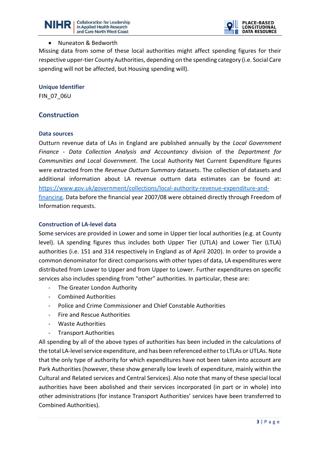



#### • Nuneaton & Bedworth

Missing data from some of these local authorities might affect spending figures for their respective upper-tier County Authorities, depending on the spending category (i.e. Social Care spending will not be affected, but Housing spending will).

 $\overline{a}$ 

**Unique Identifier**

FIN\_07\_06U

# **Construction**

#### **Data sources**

Outturn revenue data of LAs in England are published annually by the *Local Government Finance - Data Collection Analysis and Accountancy* division of the *Department for Communities and Local Government*. The Local Authority Net Current Expenditure figures were extracted from the *Revenue Outturn Summary* datasets. The collection of datasets and additional information about LA revenue outturn data estimates can be found at: [https://www.gov.uk/government/collections/local-authority-revenue-expenditure-and](https://www.gov.uk/government/collections/local-authority-revenue-expenditure-and-financing)[financing.](https://www.gov.uk/government/collections/local-authority-revenue-expenditure-and-financing) Data before the financial year 2007/08 were obtained directly through Freedom of Information requests.

#### **Construction of LA-level data**

Some services are provided in Lower and some in Upper tier local authorities (e.g. at County level). LA spending figures thus includes both Upper Tier (UTLA) and Lower Tier (LTLA) authorities (i.e. 151 and 314 respectively in England as of April 2020). In order to provide a common denominator for direct comparisons with other types of data, LA expenditures were distributed from Lower to Upper and from Upper to Lower. Further expenditures on specific services also includes spending from "other" authorities. In particular, these are:

- The Greater London Authority
- Combined Authorities
- Police and Crime Commissioner and Chief Constable Authorities
- Fire and Rescue Authorities
- Waste Authorities
- Transport Authorities

All spending by all of the above types of authorities has been included in the calculations of the total LA-level service expenditure, and has been referenced either to LTLAs or UTLAs. Note that the only type of authority for which expenditures have not been taken into account are Park Authorities (however, these show generally low levels of expenditure, mainly within the Cultural and Related services and Central Services). Also note that many of these special local authorities have been abolished and their services incorporated (in part or in whole) into other administrations (for instance Transport Authorities' services have been transferred to Combined Authorities).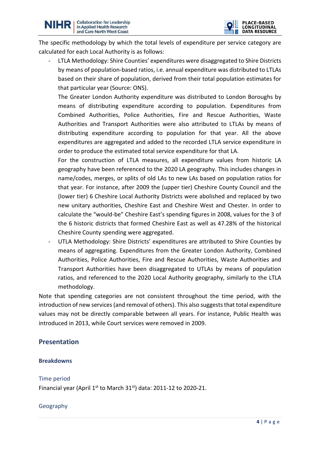

The specific methodology by which the total levels of expenditure per service category are calculated for each Local Authority is as follows:

 $\overline{a}$ 

LTLA Methodology: Shire Counties' expenditures were disaggregated to Shire Districts by means of population-based ratios, i.e. annual expenditure was distributed to LTLAs based on their share of population, derived from their total population estimates for that particular year (Source: ONS).

The Greater London Authority expenditure was distributed to London Boroughs by means of distributing expenditure according to population. Expenditures from Combined Authorities, Police Authorities, Fire and Rescue Authorities, Waste Authorities and Transport Authorities were also attributed to LTLAs by means of distributing expenditure according to population for that year. All the above expenditures are aggregated and added to the recorded LTLA service expenditure in order to produce the estimated total service expenditure for that LA.

For the construction of LTLA measures, all expenditure values from historic LA geography have been referenced to the 2020 LA geography. This includes changes in name/codes, merges, or splits of old LAs to new LAs based on population ratios for that year. For instance, after 2009 the (upper tier) Cheshire County Council and the (lower tier) 6 Cheshire Local Authority Districts were abolished and replaced by two new unitary authorities, Cheshire East and Cheshire West and Chester. In order to calculate the "would-be" Cheshire East's spending figures in 2008, values for the 3 of the 6 historic districts that formed Cheshire East as well as 47.28% of the historical Cheshire County spending were aggregated.

UTLA Methodology: Shire Districts' expenditures are attributed to Shire Counties by means of aggregating. Expenditures from the Greater London Authority, Combined Authorities, Police Authorities, Fire and Rescue Authorities, Waste Authorities and Transport Authorities have been disaggregated to UTLAs by means of population ratios, and referenced to the 2020 Local Authority geography, similarly to the LTLA methodology.

Note that spending categories are not consistent throughout the time period, with the introduction of new services (and removal of others). This also suggests that total expenditure values may not be directly comparable between all years. For instance, Public Health was introduced in 2013, while Court services were removed in 2009.

# **Presentation**

#### **Breakdowns**

#### Time period

Financial year (April  $1^{st}$  to March 31 $^{st}$ ) data: 2011-12 to 2020-21.

#### Geography